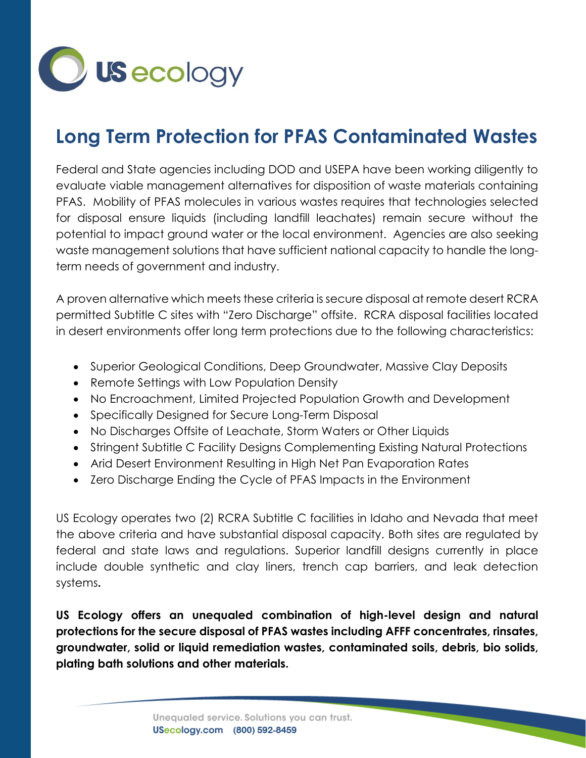

# **Long Term Protection for PFAS Contaminated Wastes**

Federal and State agencies including DOD and USEPA have been working diligently to evaluate viable management alternatives for disposition of waste materials containing PFAS. Mobility of PFAS molecules in various wastes requires that technologies selected for disposal ensure liquids (including landfill leachates) remain secure without the potential to impact ground water or the local environment. Agencies are also seeking waste management solutions that have sufficient national capacity to handle the longterm needs of government and industry.

A proven alternative which meets these criteria is secure disposal at remote desert RCRA permitted Subtitle C sites with "Zero Discharge" offsite. RCRA disposal facilities located in desert environments offer long term protections due to the following characteristics:

- Superior Geological Conditions, Deep Groundwater, Massive Clay Deposits
- Remote Settings with Low Population Density
- No Encroachment, Limited Projected Population Growth and Development
- Specifically Designed for Secure Long-Term Disposal
- No Discharges Offsite of Leachate, Storm Waters or Other Liquids
- Stringent Subtitle C Facility Designs Complementing Existing Natural Protections
- Arid Desert Environment Resulting in High Net Pan Evaporation Rates
- Zero Discharge Ending the Cycle of PFAS Impacts in the Environment

US Ecology operates two (2) RCRA Subtitle C facilities in Idaho and Nevada that meet the above criteria and have substantial disposal capacity. Both sites are regulated by federal and state laws and regulations. Superior landfill designs currently in place include double synthetic and clay liners, trench cap barriers, and leak detection systems**.** 

**US Ecology offers an unequaled combination of high-level design and natural protections for the secure disposal of PFAS wastes including AFFF concentrates, rinsates, groundwater, solid or liquid remediation wastes, contaminated soils, debris, bio solids, plating bath solutions and other materials.**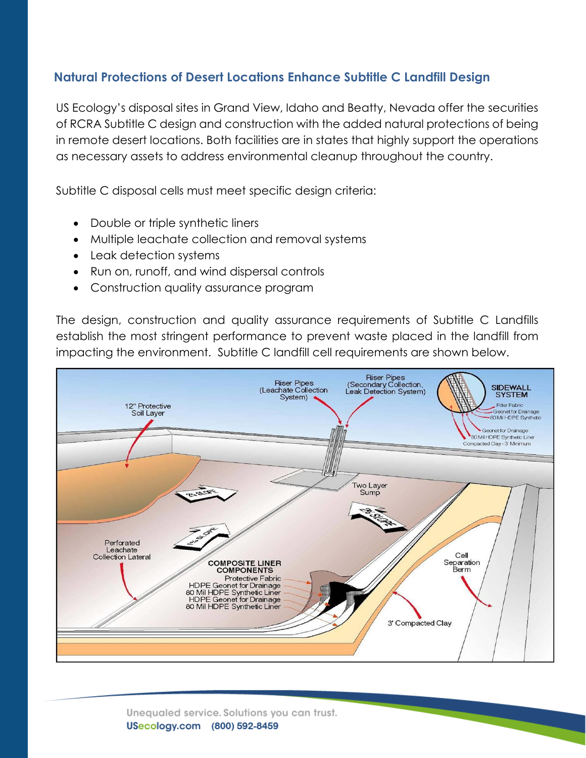### **Natural Protections of Desert Locations Enhance Subtitle C Landfill Design**

US Ecology's disposal sites in Grand View, Idaho and Beatty, Nevada offer the securities of RCRA Subtitle C design and construction with the added natural protections of being in remote desert locations. Both facilities are in states that highly support the operations as necessary assets to address environmental cleanup throughout the country.

Subtitle C disposal cells must meet specific design criteria:

- Double or triple synthetic liners
- Multiple leachate collection and removal systems
- Leak detection systems
- Run on, runoff, and wind dispersal controls
- Construction quality assurance program

The design, construction and quality assurance requirements of Subtitle C Landfills establish the most stringent performance to prevent waste placed in the landfill from impacting the environment. Subtitle C landfill cell requirements are shown below.



Unequaled service. Solutions you can trust. USecology.com (800) 592-8459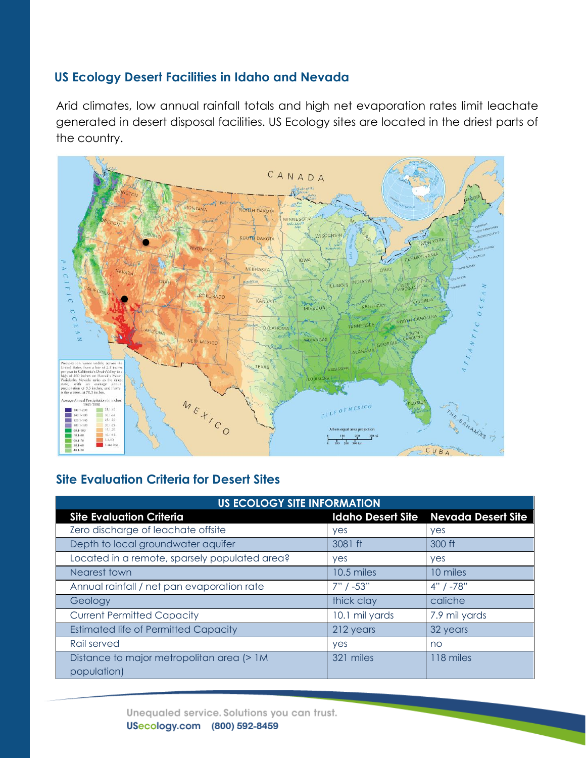### **US Ecology Desert Facilities in Idaho and Nevada**

Arid climates, low annual rainfall totals and high net evaporation rates limit leachate generated in desert disposal facilities. US Ecology sites are located in the driest parts of the country.



### **Site Evaluation Criteria for Desert Sites**

| <b>US ECOLOGY SITE INFORMATION</b>                        |                          |                           |
|-----------------------------------------------------------|--------------------------|---------------------------|
| <b>Site Evaluation Criteria</b>                           | <b>Idaho Desert Site</b> | <b>Nevada Desert Site</b> |
| Zero discharge of leachate offsite                        | yes                      | yes                       |
| Depth to local groundwater aquifer                        | 3081 ft                  | 300 ft                    |
| Located in a remote, sparsely populated area?             | yes                      | yes                       |
| Nearest town                                              | 10.5 miles               | 10 miles                  |
| Annual rainfall / net pan evaporation rate                | $7" / -53"$              | $4" / -78"$               |
| Geology                                                   | thick clay               | caliche                   |
| <b>Current Permitted Capacity</b>                         | 10.1 mil yards           | 7.9 mil yards             |
| <b>Estimated life of Permitted Capacity</b>               | 212 years                | 32 years                  |
| Rail served                                               | <b>yes</b>               | no                        |
| Distance to major metropolitan area (> 1M)<br>population) | 321 miles                | 118 miles                 |